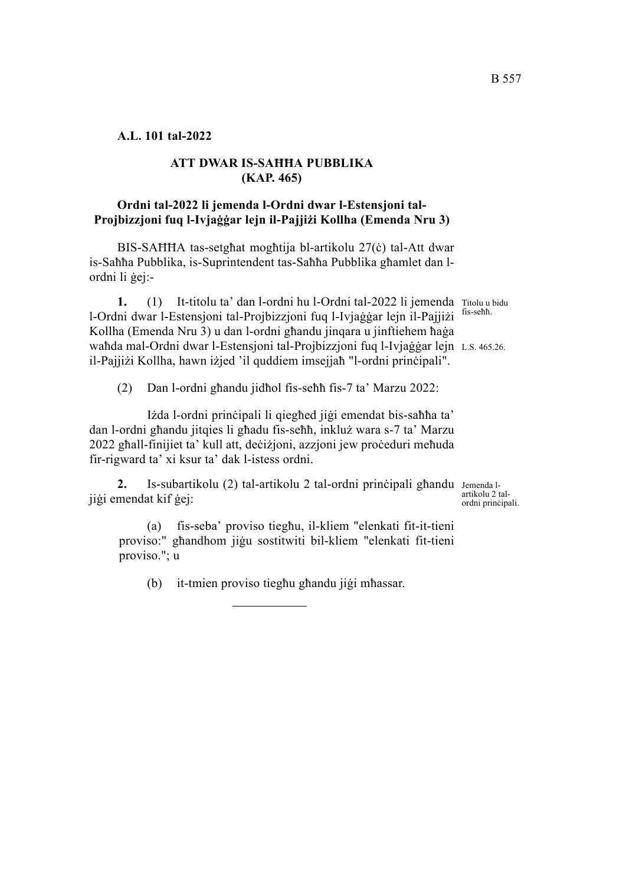### **ATT DWAR IS-SAĦĦA PUBBLIKA (KAP. 465)**

# **Ordni tal-2022 li jemenda l-Ordni dwar l-Estensjoni tal-Projbizzjoni fuq l-Ivjaġġar lejn il-Pajjiżi Kollha (Emenda Nru 3)**

BIS-SAĦĦA tas-setgħat mogħtija bl-artikolu 27(ċ) tal-Att dwar is-Saħħa Pubblika, is-Suprintendent tas-Saħħa Pubblika għamlet dan lordni li ġej:-

1. (1) It-titolu ta' dan l-ordni hu l-Ordni tal-2022 li jemenda Titolu u bidu waħda mal-Ordni dwar l-Estensjoni tal-Projbizzjoni fuq l-Ivjaġġar lejn L.s. 465.26. l-Ordni dwar l-Estensjoni tal-Projbizzjoni fuq l-Ivjaġġar lejn il-Pajjiżi Kollha (Emenda Nru 3) u dan l-ordni għandu jinqara u jinftiehem ħaġa il-Pajjiżi Kollha, hawn iżjed 'il quddiem imsejjaħ "l-ordni prinċipali".

(2) Dan l-ordni għandu jidħol fis-seħħ fis-7 ta' Marzu 2022:

Iżda l-ordni prinċipali li qiegħed jiġi emendat bis-saħħa ta' dan l-ordni għandu jitqies li għadu fis-seħħ, inkluż wara s-7 ta' Marzu 2022 għall-finijiet ta' kull att, deċiżjoni, azzjoni jew proċeduri meħuda fir-rigward ta' xi ksur ta' dak l-istess ordni.

2. Is-subartikolu (2) tal-artikolu 2 tal-ordni prinċipali għandu Jemenda ljiġi emendat kif ġej:

artikolu 2 talordni prinċipali.

(a) fis-seba' proviso tiegħu, il-kliem "elenkati fit-it-tieni proviso:" għandhom jiġu sostitwiti bil-kliem "elenkati fit-tieni proviso."; u

(b) it-tmien proviso tiegħu għandu jiġi mħassar.

B 557

fis-seħħ.